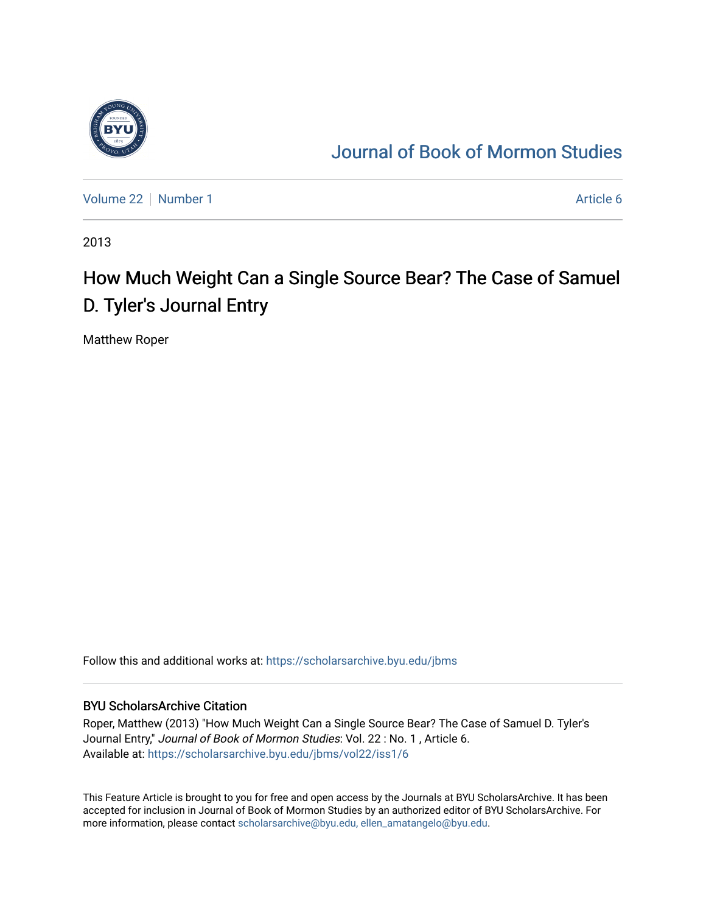

### [Journal of Book of Mormon Studies](https://scholarsarchive.byu.edu/jbms)

[Volume 22](https://scholarsarchive.byu.edu/jbms/vol22) [Number 1](https://scholarsarchive.byu.edu/jbms/vol22/iss1) Article 6

2013

## How Much Weight Can a Single Source Bear? The Case of Samuel D. Tyler's Journal Entry

Matthew Roper

Follow this and additional works at: [https://scholarsarchive.byu.edu/jbms](https://scholarsarchive.byu.edu/jbms?utm_source=scholarsarchive.byu.edu%2Fjbms%2Fvol22%2Fiss1%2F6&utm_medium=PDF&utm_campaign=PDFCoverPages) 

### BYU ScholarsArchive Citation

Roper, Matthew (2013) "How Much Weight Can a Single Source Bear? The Case of Samuel D. Tyler's Journal Entry," Journal of Book of Mormon Studies: Vol. 22 : No. 1 , Article 6. Available at: [https://scholarsarchive.byu.edu/jbms/vol22/iss1/6](https://scholarsarchive.byu.edu/jbms/vol22/iss1/6?utm_source=scholarsarchive.byu.edu%2Fjbms%2Fvol22%2Fiss1%2F6&utm_medium=PDF&utm_campaign=PDFCoverPages) 

This Feature Article is brought to you for free and open access by the Journals at BYU ScholarsArchive. It has been accepted for inclusion in Journal of Book of Mormon Studies by an authorized editor of BYU ScholarsArchive. For more information, please contact [scholarsarchive@byu.edu, ellen\\_amatangelo@byu.edu.](mailto:scholarsarchive@byu.edu,%20ellen_amatangelo@byu.edu)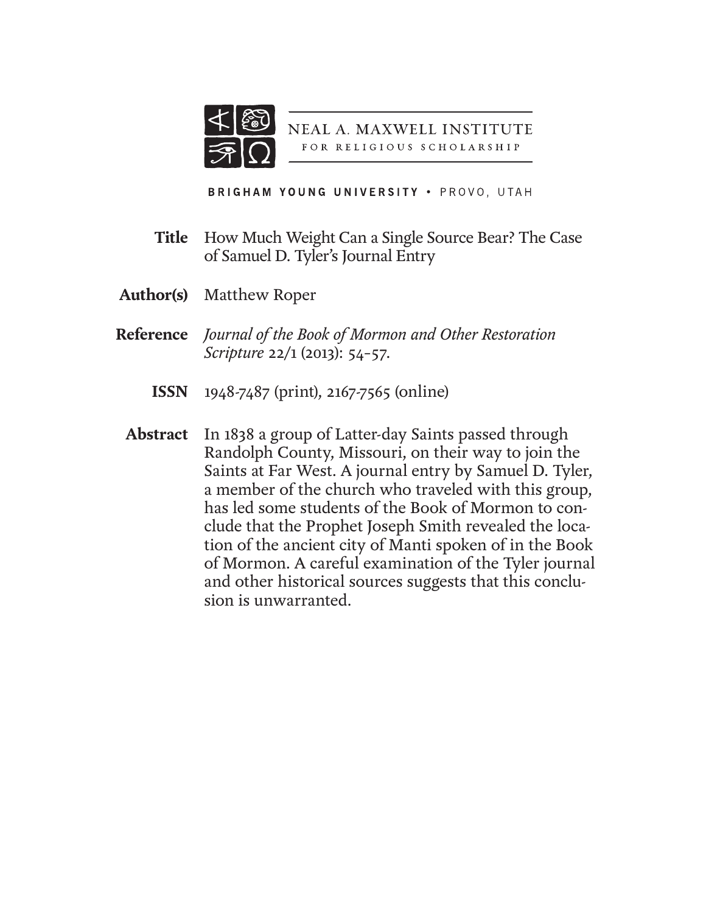

**NEAL A. MAXWELL INSTITUTE** FOR RELIGIOUS SCHOLARSHIP

BRIGHAM YOUNG UNIVERSITY . PROVO, UTAH

- How Much Weight Can a Single Source Bear? The Case of Samuel D. Tyler's Journal Entry **Title**
- **Author(s)** Matthew Roper
- *Journal of the Book of Mormon and Other Restoration*  **Reference** *Scripture* 22/1 (2013): 54–57.
	- 1948-7487 (print), 2167-7565 (online) **ISSN**
- **Abstract** In 1838 a group of Latter-day Saints passed through Randolph County, Missouri, on their way to join the Saints at Far West. A journal entry by Samuel D. Tyler, a member of the church who traveled with this group, has led some students of the Book of Mormon to conclude that the Prophet Joseph Smith revealed the location of the ancient city of Manti spoken of in the Book of Mormon. A careful examination of the Tyler journal and other historical sources suggests that this conclusion is unwarranted.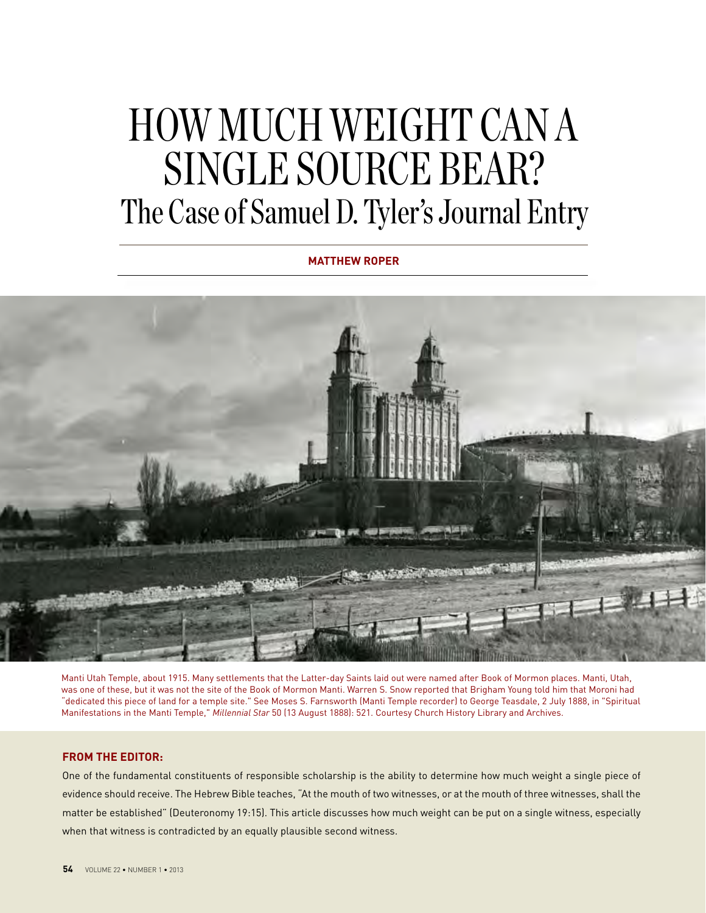# HOW MUCH WEIGHT CAN A SINGLE SOURCE BEAR? The Case of Samuel D. Tyler's Journal Entry

**MATTHEW ROPER**



Manti Utah Temple, about 1915. Many settlements that the Latter-day Saints laid out were named after Book of Mormon places. Manti, Utah, was one of these, but it was not the site of the Book of Mormon Manti. Warren S. Snow reported that Brigham Young told him that Moroni had "dedicated this piece of land for a temple site." See Moses S. Farnsworth (Manti Temple recorder) to George Teasdale, 2 July 1888, in "Spiritual Manifestations in the Manti Temple," *Millennial Star* 50 (13 August 1888): 521. Courtesy Church History Library and Archives.

### **FROM THE EDITOR:**

One of the fundamental constituents of responsible scholarship is the ability to determine how much weight a single piece of evidence should receive. The Hebrew Bible teaches, "At the mouth of two witnesses, or at the mouth of three witnesses, shall the matter be established" (Deuteronomy 19:15). This article discusses how much weight can be put on a single witness, especially when that witness is contradicted by an equally plausible second witness.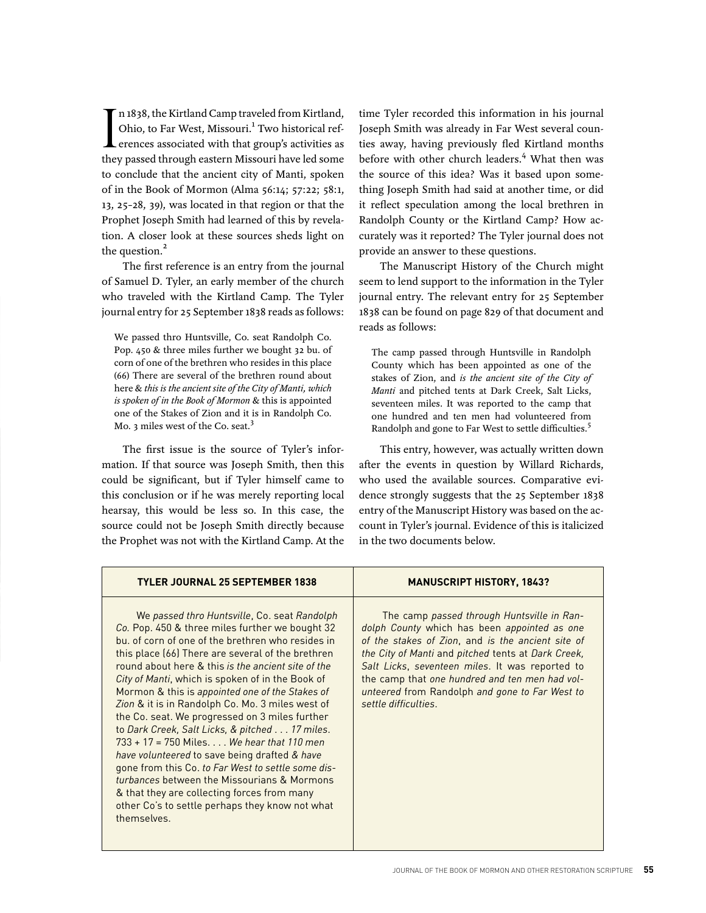In 1838, the Kirtland Camp traveled from Kirtland,<br>Ohio, to Far West, Missouri.<sup>1</sup> Two historical references associated with that group's activities as<br>they passed through eastern Missouri have led some n 1838, the Kirtland Camp traveled from Kirtland, Ohio, to Far West, Missouri.<sup>1</sup> Two historical references associated with that group's activities as to conclude that the ancient city of Manti, spoken of in the Book of Mormon (Alma 56:14; 57:22; 58:1, 13, 25–28, 39), was located in that region or that the Prophet Joseph Smith had learned of this by revelation. A closer look at these sources sheds light on the question.<sup>2</sup>

The first reference is an entry from the journal of Samuel D. Tyler, an early member of the church who traveled with the Kirtland Camp. The Tyler journal entry for 25 September 1838 reads as follows:

We passed thro Huntsville, Co. seat Randolph Co. Pop. 450 & three miles further we bought 32 bu. of corn of one of the brethren who resides in this place (66) There are several of the brethren round about here & *this is the ancient site of the City of Manti, which is spoken of in the Book of Mormon* & this is appointed one of the Stakes of Zion and it is in Randolph Co. Mo. 3 miles west of the Co. seat.<sup>3</sup>

The first issue is the source of Tyler's information. If that source was Joseph Smith, then this could be significant, but if Tyler himself came to this conclusion or if he was merely reporting local hearsay, this would be less so. In this case, the source could not be Joseph Smith directly because the Prophet was not with the Kirtland Camp. At the

time Tyler recorded this information in his journal Joseph Smith was already in Far West several counties away, having previously fled Kirtland months before with other church leaders.<sup>4</sup> What then was the source of this idea? Was it based upon something Joseph Smith had said at another time, or did it reflect speculation among the local brethren in Randolph County or the Kirtland Camp? How accurately was it reported? The Tyler journal does not provide an answer to these questions.

The Manuscript History of the Church might seem to lend support to the information in the Tyler journal entry. The relevant entry for 25 September 1838 can be found on page 829 of that document and reads as follows:

The camp passed through Huntsville in Randolph County which has been appointed as one of the stakes of Zion, and *is the ancient site of the City of Manti* and pitched tents at Dark Creek, Salt Licks, seventeen miles. It was reported to the camp that one hundred and ten men had volunteered from Randolph and gone to Far West to settle difficulties.<sup>5</sup>

This entry, however, was actually written down after the events in question by Willard Richards, who used the available sources. Comparative evidence strongly suggests that the 25 September 1838 entry of the Manuscript History was based on the account in Tyler's journal. Evidence of this is italicized in the two documents below.

| TYLER JOURNAL 25 SEPTEMBER 1838                                                                                                                                                                                                                                                                                                                                                                                                                                                                                                                                                                                                                                                                                                                                                                                                                      | <b>MANUSCRIPT HISTORY, 1843?</b>                                                                                                                                                                                                                                                                                                                                                     |
|------------------------------------------------------------------------------------------------------------------------------------------------------------------------------------------------------------------------------------------------------------------------------------------------------------------------------------------------------------------------------------------------------------------------------------------------------------------------------------------------------------------------------------------------------------------------------------------------------------------------------------------------------------------------------------------------------------------------------------------------------------------------------------------------------------------------------------------------------|--------------------------------------------------------------------------------------------------------------------------------------------------------------------------------------------------------------------------------------------------------------------------------------------------------------------------------------------------------------------------------------|
| We passed thro Huntsville, Co. seat Randolph<br>Co. Pop. 450 & three miles further we bought 32<br>bu, of corn of one of the brethren who resides in<br>this place (66) There are several of the brethren<br>round about here & this is the ancient site of the<br>City of Manti, which is spoken of in the Book of<br>Mormon & this is appointed one of the Stakes of<br>Zion & it is in Randolph Co. Mo. 3 miles west of<br>the Co. seat. We progressed on 3 miles further<br>to Dark Creek, Salt Licks, & pitched 17 miles.<br>$733 + 17 = 750$ Miles We hear that 110 men<br>have volunteered to save being drafted & have<br>gone from this Co. to Far West to settle some dis-<br>turbances between the Missourians & Mormons<br>& that they are collecting forces from many<br>other Co's to settle perhaps they know not what<br>themselves. | The camp passed through Huntsville in Ran-<br>dolph County which has been appointed as one<br>of the stakes of Zion, and is the ancient site of<br>the City of Manti and pitched tents at Dark Creek,<br>Salt Licks, seventeen miles. It was reported to<br>the camp that one hundred and ten men had vol-<br>unteered from Randolph and gone to Far West to<br>settle difficulties. |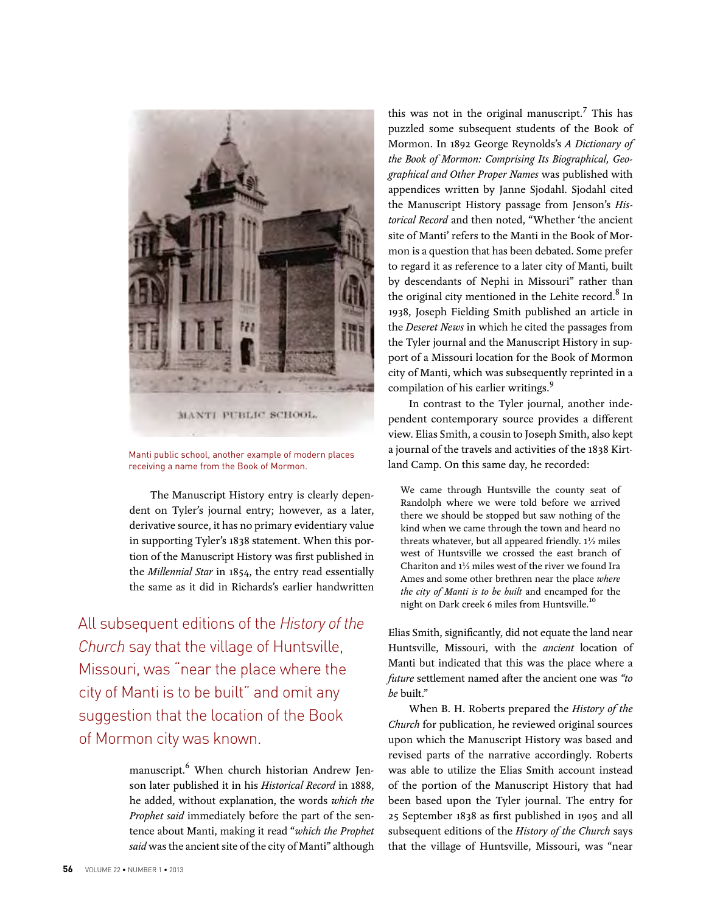

Manti public school, another example of modern places receiving a name from the Book of Mormon.

The Manuscript History entry is clearly dependent on Tyler's journal entry; however, as a later, derivative source, it has no primary evidentiary value in supporting Tyler's 1838 statement. When this portion of the Manuscript History was first published in the *Millennial Star* in 1854, the entry read essentially the same as it did in Richards's earlier handwritten

All subsequent editions of the *History of the Church* say that the village of Huntsville, Missouri, was "near the place where the city of Manti is to be built" and omit any suggestion that the location of the Book of Mormon city was known.

> manuscript.6 When church historian Andrew Jenson later published it in his *Historical Record* in 1888, he added, without explanation, the words *which the Prophet said* immediately before the part of the sentence about Manti, making it read "*which the Prophet said* was the ancient site of the city of Manti" although

this was not in the original manuscript.<sup>7</sup> This has puzzled some subsequent students of the Book of Mormon. In 1892 George Reynolds's *A Dictionary of the Book of Mormon: Comprising Its Biographical, Geographical and Other Proper Names* was published with appendices written by Janne Sjodahl. Sjodahl cited the Manuscript History passage from Jenson's *Historical Record* and then noted, "Whether 'the ancient site of Manti' refers to the Manti in the Book of Mormon is a question that has been debated. Some prefer to regard it as reference to a later city of Manti, built by descendants of Nephi in Missouri" rather than the original city mentioned in the Lehite record. $^8$  In 1938, Joseph Fielding Smith published an article in the *Deseret News* in which he cited the passages from the Tyler journal and the Manuscript History in support of a Missouri location for the Book of Mormon city of Manti, which was subsequently reprinted in a compilation of his earlier writings.<sup>9</sup>

In contrast to the Tyler journal, another independent contemporary source provides a different view. Elias Smith, a cousin to Joseph Smith, also kept a journal of the travels and activities of the 1838 Kirtland Camp. On this same day, he recorded:

We came through Huntsville the county seat of Randolph where we were told before we arrived there we should be stopped but saw nothing of the kind when we came through the town and heard no threats whatever, but all appeared friendly. 1½ miles west of Huntsville we crossed the east branch of Chariton and 1½ miles west of the river we found Ira Ames and some other brethren near the place *where the city of Manti is to be built* and encamped for the night on Dark creek 6 miles from Huntsville.<sup>10</sup>

Elias Smith, significantly, did not equate the land near Huntsville, Missouri, with the *ancient* location of Manti but indicated that this was the place where a *future* settlement named after the ancient one was *"to be* built."

When B. H. Roberts prepared the *History of the Church* for publication, he reviewed original sources upon which the Manuscript History was based and revised parts of the narrative accordingly. Roberts was able to utilize the Elias Smith account instead of the portion of the Manuscript History that had been based upon the Tyler journal. The entry for 25 September 1838 as first published in 1905 and all subsequent editions of the *History of the Church* says that the village of Huntsville, Missouri, was "near